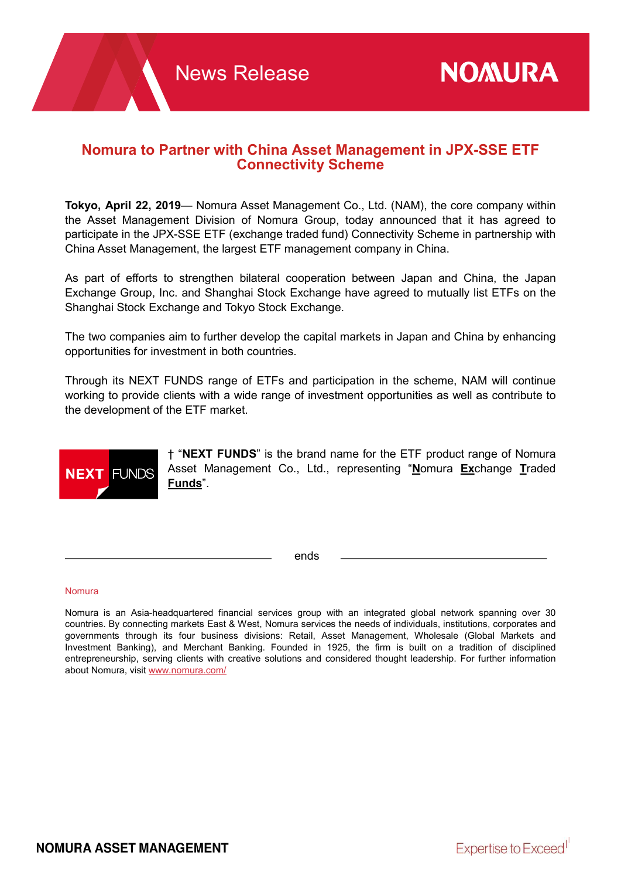## Nomura to Partner with China Asset Management in JPX-SSE ETF Connectivity Scheme

Tokyo, April 22, 2019— Nomura Asset Management Co., Ltd. (NAM), the core company within the Asset Management Division of Nomura Group, today announced that it has agreed to participate in the JPX-SSE ETF (exchange traded fund) Connectivity Scheme in partnership with China Asset Management, the largest ETF management company in China.

As part of efforts to strengthen bilateral cooperation between Japan and China, the Japan Exchange Group, Inc. and Shanghai Stock Exchange have agreed to mutually list ETFs on the Shanghai Stock Exchange and Tokyo Stock Exchange.

The two companies aim to further develop the capital markets in Japan and China by enhancing opportunities for investment in both countries.

Through its NEXT FUNDS range of ETFs and participation in the scheme, NAM will continue working to provide clients with a wide range of investment opportunities as well as contribute to the development of the ETF market.



† "NEXT FUNDS" is the brand name for the ETF product range of Nomura Asset Management Co., Ltd., representing "Nomura Exchange Traded Funds".

ends

## Nomura

Nomura is an Asia-headquartered financial services group with an integrated global network spanning over 30 countries. By connecting markets East & West, Nomura services the needs of individuals, institutions, corporates and governments through its four business divisions: Retail, Asset Management, Wholesale (Global Markets and Investment Banking), and Merchant Banking. Founded in 1925, the firm is built on a tradition of disciplined entrepreneurship, serving clients with creative solutions and considered thought leadership. For further information about Nomura, visit www.nomura.com/